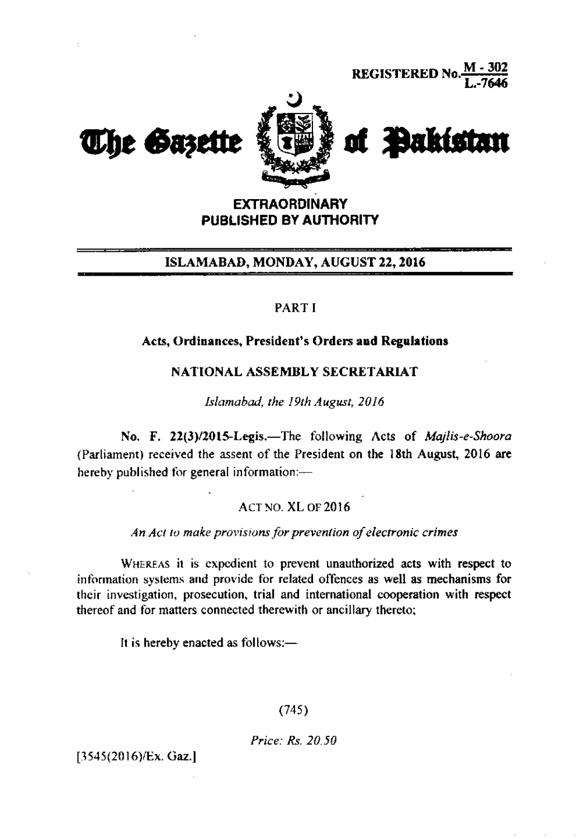

# **EXTRAORDINARY PUBLISHED BY AUTHORITY**

## ISLAMABAD, MONDAY, AUGUST 22, 2016

## PART I

#### Acts, Ordinances, President's Orders and Regulations

### NATIONAL ASSEMBLY SECRETARIAT

Islamabad, the 19th August, 2016

No. F. 22(3)/2015-Legis.-The following Acts of Majlis-e-Shoora (Parliament) received the assent of the President on the 18th August, 2016 are hereby published for general information:-

**ACT NO. XL OF 2016** 

An Act to make provisions for prevention of electronic crimes

WHEREAS it is expedient to prevent unauthorized acts with respect to information systems and provide for related offences as well as mechanisms for their investigation, prosecution, trial and international cooperation with respect thereof and for matters connected therewith or ancillary thereto;

It is hereby enacted as follows:-

 $(745)$ 

Price: Rs. 20.50

 $[3545(2016)$ /Ex. Gaz.]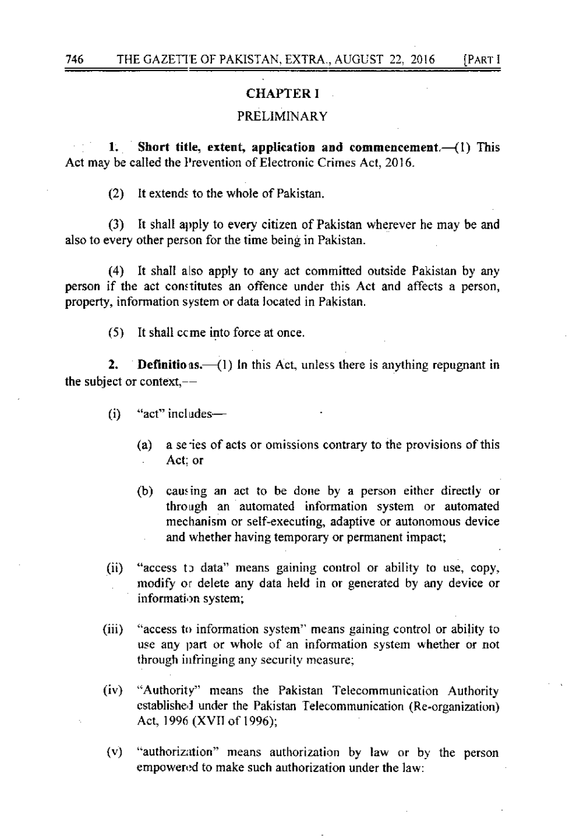# CHAPTER I

# PRELIMINARY

1. Short title, extent, application and commencement $-$ (1) This Act may be called the Prevention of Electronic Crimes Act, 2016.

(2) It extends to the whole of Pakistan.

(3) It shall apply to every citizen of Pakistan wherever he may be and also to every other person for the time being in Pakistan.

(4) It shall also apply to any act committed outside Pakislan by any person if the act constitutes an offence under this Act and affects a person, property, information system or data located in Pakistan.

(5) It shall ccme into force at once

**2.** Definitions.  $\left(\begin{array}{c} -1 \end{array}\right)$  ln this Act, unless there is anything repugnant in the subject or context,

- $(i)$  "act" includes-
	- (a) a se ies of acts or omissions contrary to the provisions of this Act: or
	- (b) causing an act to be done by a person either directly or through an automated information system or automated mechanism or self-executing, adaptive or autonomous device and whether having temporary or permanent impact;
- $(ii)$  "access to data" means gaining control or ability to use, copy, modify or delete any data held in or generated by any device or information system;
- (iii) "access to information system" means gaining control or ability to use any part or whole of an information system whether or not through infringing any security measure;
- $(iv)$  "Authority" means the Pakistan Telecommunication Authority established under the Pakistan Telecommunication (Re-organization) Act, 1996 (XVII of 1996);
- (v) "authorizxton" means authorization by law or by the person empowered to make such authorization under the law: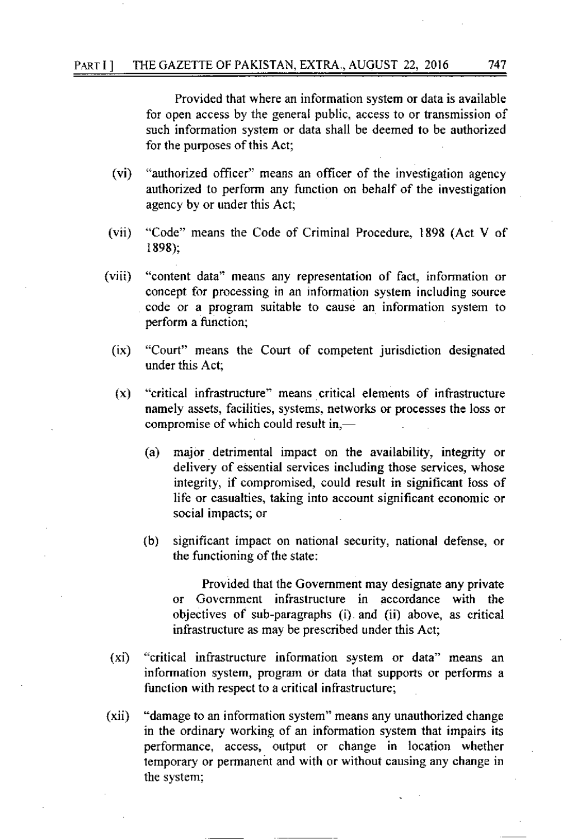#### PARTI] THE GAZETTE OF PAKISTAN, EXTRA., AUGUST 22, 2016 747

Provided that where an information system or data is available for open access by the general public, access 10 or transmission of such information system or data shall be deemed to be authorized for the purposes of this Act;

- (vi) "authorized officer" means an officer of the investigation agency authorized to perform any function on behalf of the investigation agency by or under this Act;
- (vii) "Code" means the Code of Criminal Procedure, 1898 (Act V of 189E);
- (viii) "content data" means any representation of fact, information or concept for processing in an information system including source code or a program suitable to cause an information syslem to perform a function;
	- (ix) "Court" means the Court of competent jurisdiction designated under this Act:
	- $(x)$  "critical infrastructure" means critical elements of infrastructure namely assets, facilities, systems, networks or processes the loss or compromise of which could result in.—
		- (a) major detrimental impact on the availability, integrity or delivery of essential services including those services, whose integrity, if compromised, could result in significant Ioss of life or casualties, taking into account significant economic or social impacts; or
		- (b) significant impact on national security, national defense, or the functioning of the state:

Provided that the Government may designate any private or Government infrastructure in accordance with the objectives of sub-paragraphs (i) and (ii) above, as critical infrastructurc as may be prescribed under this Act;

- $(x_i)$ "critical infrastructure information system or data" means an information system, program or data that supports or performs a function with respect to a critical infrastructure;
- (xii) "damage to an information system" means any unauthorized change in the ordinary working of an information system that impairs its performance, access, output or change in location whether lemporary or permanent and with or without causing any change in the system;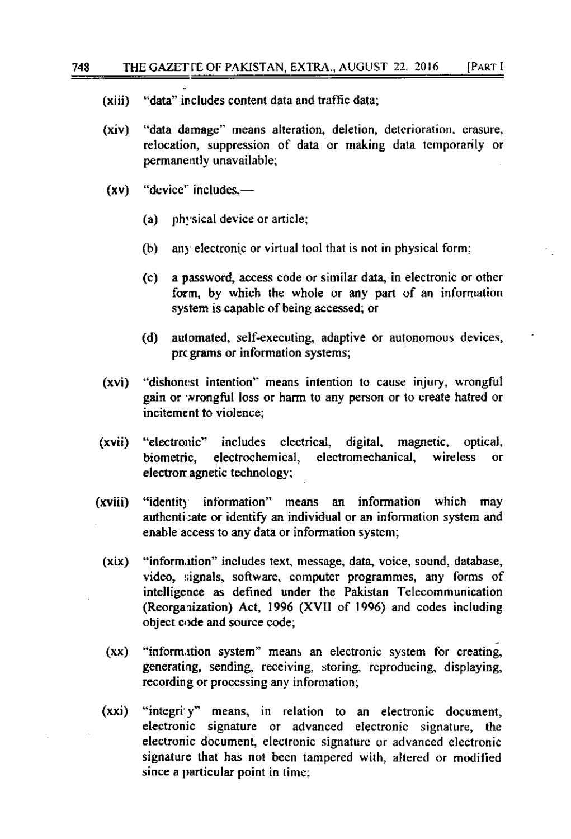- "data" includes content data and traffic data;  $(xiii)$
- $(xiv)$ "data damage" means alteration, deletion, deterioration, crasure, relocation, suppression of data or making data temporarily or permanently unavailable:
- "device" includes.—  $(xv)$ 
	- physical device or article; (a)
	- any electronic or virtual tool that is not in physical form; (b)
	- a password, access code or similar data, in electronic or other  $(c)$ form, by which the whole or any part of an information system is capable of being accessed; or
	- (d) automated, self-executing, adaptive or autonomous devices, pregrams or information systems;
- "dishonest intention" means intention to cause injury, wrongful (xvi) gain or wrongful loss or harm to any person or to create hatred or incitement to violence:
- (xvii) "electronic" includes electrical, digital, magnetic. optical. biometric, electrochemical, electromechanical. wireless  $\alpha$ r electron agnetic technology;
- "identity information" means an information which may (xviii) authenticate or identify an individual or an information system and enable access to any data or information system;
	- "information" includes text, message, data, voice, sound, database, (xix) video, signals, software, computer programmes, any forms of intelligence as defined under the Pakistan Telecommunication (Reorganization) Act, 1996 (XVII of 1996) and codes including object code and source code;
	- $(xx)$ "information system" means an electronic system for creating, generating, sending, receiving, storing, reproducing, displaying, recording or processing any information;
	- $(xxi)$ "integrity" means, in relation to an electronic document, electronic signature or advanced electronic signature, the electronic document, electronic signature or advanced electronic signature that has not been tampered with, altered or modified since a particular point in time: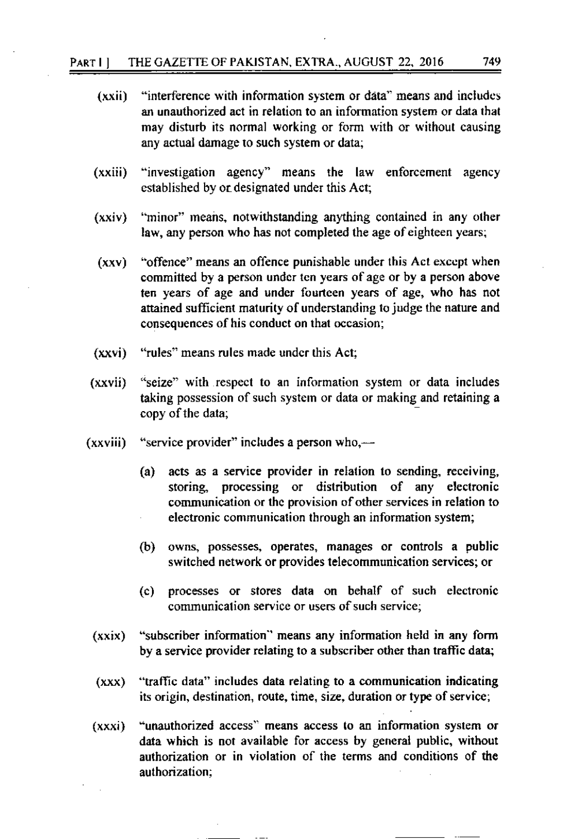- (xxii) "interference with information system or data" means and includes an unauthorized act in relation to an information system or data that may disturb its normal working or form with or without causing any actual damage ro such system or data;
- (xxiii) "investigation agency" means the law enforcement agency established by or designated under this Act;
- $(xxiv)$  "minor" means, notwithstanding anything contained in any other law, any person who has not completed the age of eighteen years;
- $(xxy)$  "offence" means an offence punishable under this Act except when committed by a person under ten years of age or by a person above ten years of age and under fourteen years of age, who has not attained sufficient maturity of understanding to judge the nature and consequences of his conduct on that occasion;
- (xxvi) "rules" means rules made undcr thjs Act;
- $(xxvii)$ "seize" with respect to an information system or data includes taking possession of such syslem or data or making and retaining a copy of the data;
- $(xxviii)$  "service provider" includes a person who, $-$ 
	- (a) acts as a service provider in relation to sending, receiving, storing, processing or distribution of any electronic communication or the provision of other services in relation to electronic communication through an information system;
	- (b) owns, possesses, operates, manages or controls a public switched network or provides telecommunication services; or
	- (c) processes or stores data on behalf of such electronic communication service or users of such service;
	- (xxix) "subscriber information" means any information held in any form by a service provider relating to a subscriber other than traffic data;
	- $(xxx)$  "traffic data" includes data relating to a communication indicating its origin, destination, route, time, size, duration or type of service;
	- "unauthorized access" means access to an information system or data which is not available for access by general public, without authorization or in violation of the terms and conditions of the authorization; (xxxi)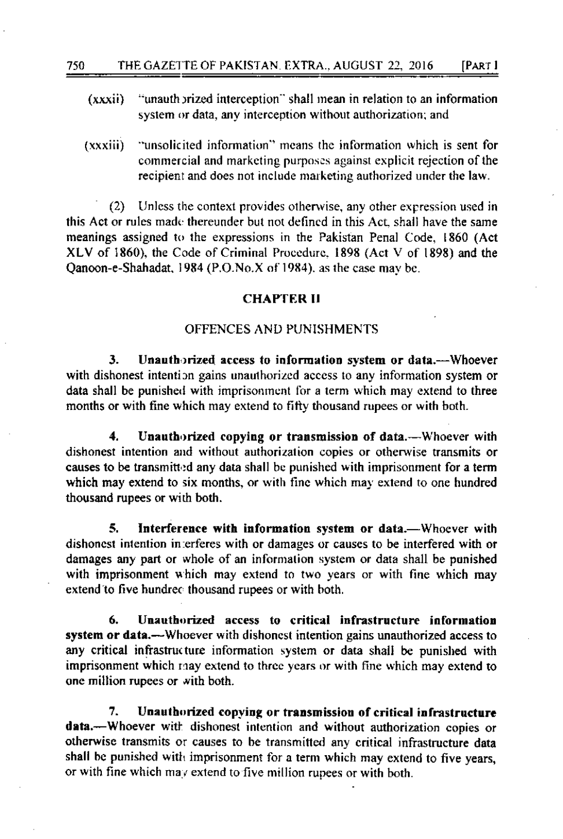- $(xxxii)$ "unauth prized interception" shall mean in relation to an information system or data, any interception without authorization; and
- "unsolicited information" means the information which is sent for  $(xxxiii)$ commercial and marketing purposes against explicit rejection of the recipient and does not include marketing authorized under the law.

Unless the context provides otherwise, any other expression used in  $(2)$ this Act or rules made thereunder but not defined in this Act, shall have the same meanings assigned to the expressions in the Pakistan Penal Code, 1860 (Act XLV of 1860), the Code of Criminal Procedure, 1898 (Act V of 1898) and the Oanoon-e-Shahadat, 1984 (P.O.No.X of 1984), as the case may be.

#### **CHAPTER II**

### OFFENCES AND PUNISHMENTS

Unauthorized access to information system or data.—Whoever 3. with dishonest intention gains unauthorized access to any information system or data shall be punished with imprisonment for a term which may extend to three months or with fine which may extend to fifty thousand rupees or with both.

 $\blacktriangleleft$ . Unauthorized copying or transmission of data.--Whoever with dishonest intention and without authorization copies or otherwise transmits or causes to be transmitted any data shall be punished with imprisonment for a term which may extend to six months, or with fine which may extend to one hundred thousand rupees or with both.

5. Interference with information system or data.—Whoever with dishonest intention in erferes with or damages or causes to be interfered with or damages any part or whole of an information system or data shall be punished with imprisonment which may extend to two years or with fine which may extend to five hundrec thousand rupees or with both.

Unauthorized access to critical infrastructure information 6. system or data.—Whoever with dishonest intention gains unauthorized access to any critical infrastructure information system or data shall be punished with imprisonment which may extend to three years or with fine which may extend to one million rupees or with both.

7. Unauthorized copving or transmission of critical infrastructure data.—Whoever with dishonest intention and without authorization copies or otherwise transmits or causes to be transmitted any critical infrastructure data shall be punished with imprisonment for a term which may extend to five years, or with fine which may extend to five million rupees or with both.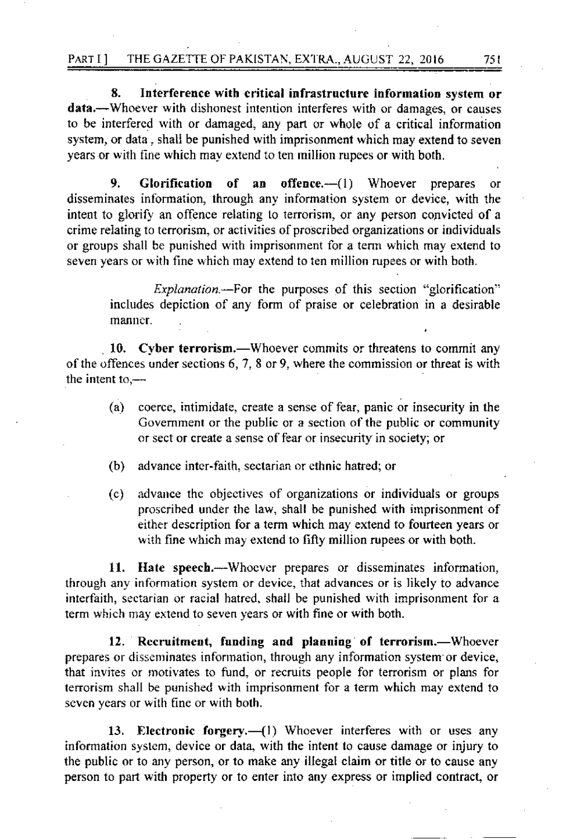8. Interference with critical infrastructure information system or data.—Whoever with dishonest intention interferes with or damages, or causes to be interfered with or damaged, any part or whole of a critical information system, or data, shall be punished with imprisonment which may extend to seven vears or with fine which may extend to ten million rupees or with both.

9. Glorification of an offence.— $(1)$  Whoever prepares or disseminates information, through any information system or device, with the intent to glorify an offence relating to terrorism, or any person convicted of a crime relating to terrorism, or activities of proscribed organizations or individuals or groups shall be punished with imprisonment for a term which may extend to seven years or with fine which may extend to ten million rupees or with both.

> includes depiction of any form of praise or celebration in a desirable manner.

10. Cyber terrorism.—Whoever commits or threatens to commit any of the offences under sections  $6, 7, 8$  or 9, where the commission or threat is with the intent to, $-$ 

- coerce, intimidate, create a sense of fear, panic or insecurity in the  $(a)$ Government or the public or a section of the public or community or sect or create a sense of fear or insecurity in society; or
- advance inter-faith, sectarian or ethnic hatred; or  $(b)$
- $(c)$ advance the objectives of organizations or individuals or groups proscribed under the law, shall be punished with imprisonment of either description for a term which may extend to fourteen years or with fine which may extend to fifty million rupees or with both.

11. Hate speech.—Whoever prepares or disseminates information, through any information system or device, that advances or is likely to advance interfaith, sectarian or racial hatred, shall be punished with imprisonment for a term which may extend to seven years or with fine or with both.

12. Recruitment, funding and planning of terrorism.—Whoever prepares or disseminates information, through any information system or device, that invites or motivates to fund, or recruits people for terrorism or plans for terrorism shall be punished with imprisonment for a term which may extend to seven years or with fine or with both.

13. Electronic forgery.- (1) Whoever interferes with or uses any information system, device or data, with the intent to cause damage or injury to the public or to any person, or to make any illegal claim or title or to cause any person to part with property or to enter into any express or implied contract, or

75 I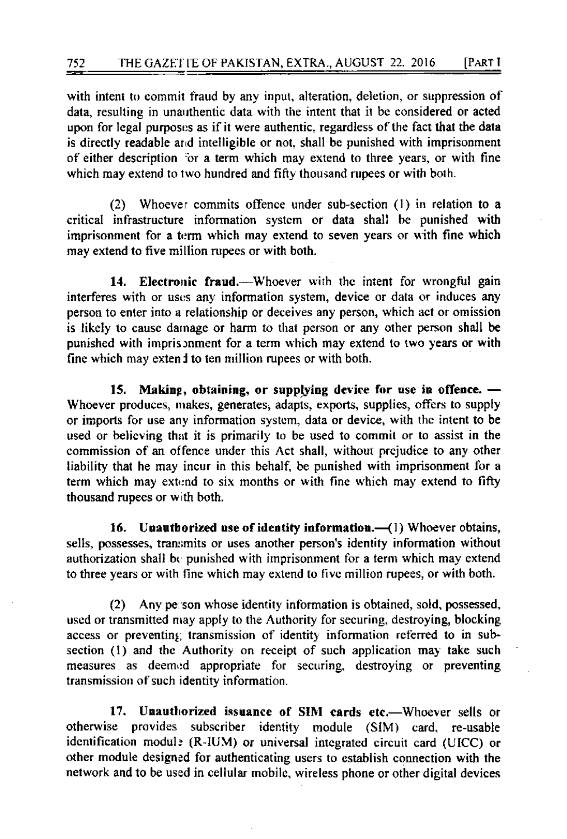with intent to commit fraud by any input, alteration, deletion, or suppression of data, resulting in unauthentic data with the intent that it be considered or acted upon for legal purposes as if it were authentic, regardless of the fact that the data is directly readable and intelligible or not, shall be punished with imprisonment of either description for a term which may extend to three years, or with fine which may extend to two hundred and fifty thousand rupees or with both.

Whoever commits offence under sub-section (1) in relation to a  $(2)$ critical infrastructure information system or data shall be punished with imprisonment for a term which may extend to seven years or with fine which may extend to five million rupees or with both.

14. Electronic fraud.—Whoever with the intent for wrongful gain interferes with or uses any information system, device or data or induces any person to enter into a relationship or deceives any person, which act or omission is likely to cause damage or harm to that person or any other person shall be punished with imprisonment for a term which may extend to two years or with fine which may extend to ten million rupees or with both.

15. Making, obtaining, or supplying device for use in offence. -Whoever produces, makes, generates, adapts, exports, supplies, offers to supply or imports for use any information system, data or device, with the intent to be used or believing that it is primarily to be used to commit or to assist in the commission of an offence under this Act shall, without prejudice to any other liability that he may incur in this behalf, be punished with imprisonment for a term which may extend to six months or with fine which may extend to fifty thousand rupees or with both.

16. Unauthorized use of identity information.-(1) Whoever obtains, sells, possesses, transmits or uses another person's identity information without authorization shall be punished with imprisonment for a term which may extend to three years or with fine which may extend to five million rupees, or with both.

Any person whose identity information is obtained, sold, possessed,  $(2)$ used or transmitted may apply to the Authority for securing, destroying, blocking access or preventing transmission of identity information referred to in subsection (1) and the Authority on receipt of such application may take such measures as deemed appropriate for securing, destroying or preventing transmission of such identity information.

17. Unauthorized issuance of SIM cards etc.—Whoever sells or otherwise provides subscriber identity module (SIM) card, re-usable identification modul: (R-IUM) or universal integrated circuit card (UICC) or other module designed for authenticating users to establish connection with the network and to be used in cellular mobile, wireless phone or other digital devices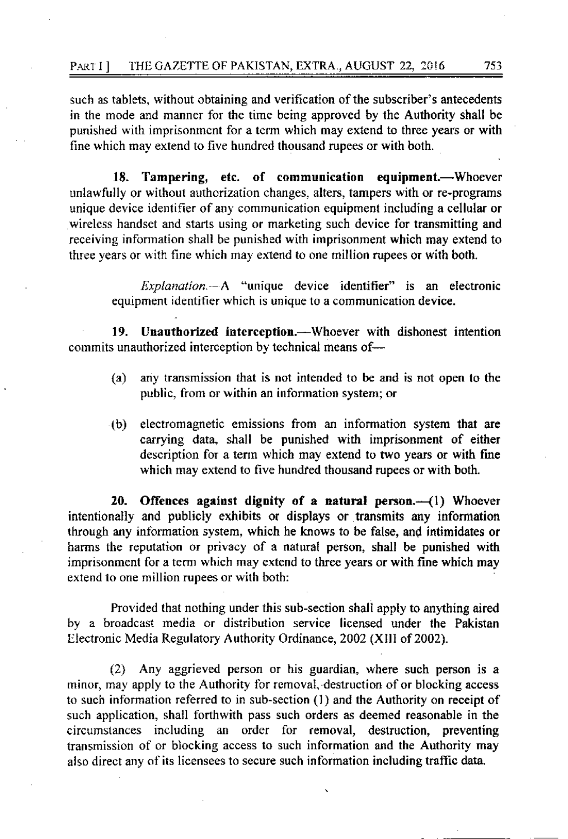such as tablets, without obtaining and verification of the subscriber's antecedents in the mode and manner for the time being approved by the Authority shall be punished with imprisonment for a term which may extend to three years or with fine which may extend to five hundred thousand rupees or with both.

Tampering, etc. of communication equipment.-Whoever 18. unlawfully or without authorization changes, alters, tampers with or re-programs unique device identifier of any communication equipment including a cellular or wireless handset and starts using or marketing such device for transmitting and receiving information shall be punished with imprisonment which may extend to three years or with fine which may extend to one million rupees or with both.

*Explanation* - A "unique device identifier" is an electronic equipment identifier which is unique to a communication device.

Unauthorized interception.—Whoever with dishonest intention 19. commits unauthorized interception by technical means of-

- $(a)$ any transmission that is not intended to be and is not open to the public, from or within an information system; or
- electromagnetic emissions from an information system that are  $(b)$ carrying data, shall be punished with imprisonment of either description for a term which may extend to two years or with fine which may extend to five hundred thousand rupees or with both.

Offences against dignity of a natural person. $-(1)$  Whoever 20. intentionally and publicly exhibits or displays or transmits any information through any information system, which he knows to be false, and intimidates or harms the reputation or privacy of a natural person, shall be punished with imprisonment for a term which may extend to three years or with fine which may extend to one million rupees or with both:

Provided that nothing under this sub-section shall apply to anything aired by a broadcast media or distribution service licensed under the Pakistan Electronic Media Regulatory Authority Ordinance, 2002 (XIII of 2002).

Any aggrieved person or his guardian, where such person is a  $(2)$ minor, may apply to the Authority for removal, destruction of or blocking access to such information referred to in sub-section (1) and the Authority on receipt of such application, shall forthwith pass such orders as deemed reasonable in the circumstances including an order for removal, destruction, preventing transmission of or blocking access to such information and the Authority may also direct any of its licensees to secure such information including traffic data.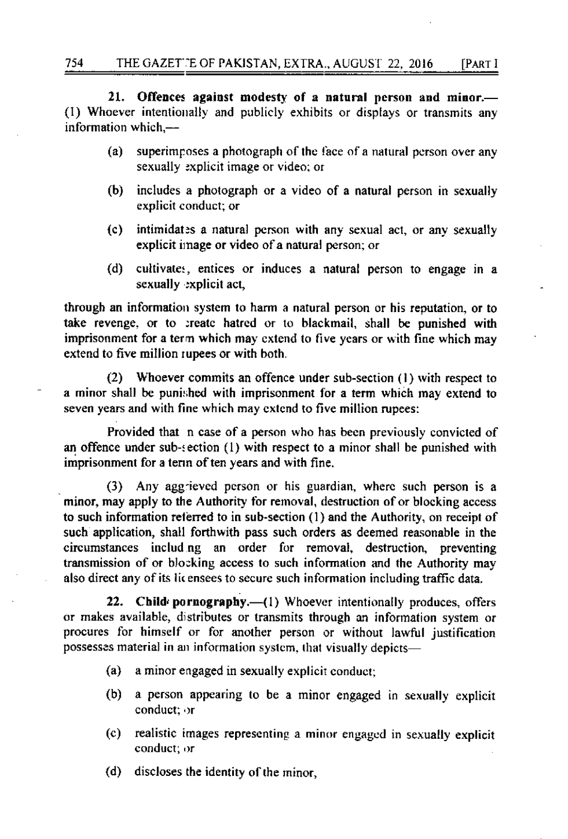21. Offences against modesty of a natural person and minor.— (1) Whoever intentionally and publicly exhibits or displays or transmits any information which,-

- $(a)$ superimposes a photograph of the face of a natural person over any sexually explicit image or video; or
- (b) includes a photograph or a video of a natural person in sexually explicit conduct; or
- $(c)$ intimidates a natural person with any sexual act, or any sexually explicit image or video of a natural person; or
- cultivates, entices or induces a natural person to engage in a  $(d)$ sexually explicit act,

through an information system to harm a natural person or his reputation, or to take revenge, or to create hatred or to blackmail, shall be punished with imprisonment for a term which may extend to five years or with fine which may extend to five million rupees or with both.

Whoever commits an offence under sub-section (1) with respect to  $(2)$ a minor shall be punished with imprisonment for a term which may extend to seven years and with fine which may extend to five million rupees:

Provided that n case of a person who has been previously convicted of an offence under sub-section (1) with respect to a minor shall be punished with imprisonment for a term of ten years and with fine.

(3) Any aggrieved person or his guardian, where such person is a minor, may apply to the Authority for removal, destruction of or blocking access to such information referred to in sub-section (1) and the Authority, on receipt of such application, shall forthwith pass such orders as deemed reasonable in the circumstances including an order for removal, destruction, preventing transmission of or blocking access to such information and the Authority may also direct any of its licensees to secure such information including traffic data.

22. Child pornography.-(1) Whoever intentionally produces, offers or makes available, distributes or transmits through an information system or procures for himself or for another person or without lawful justification possesses material in an information system, that visually depicts-

- a minor engaged in sexually explicit conduct;  $(a)$
- $(b)$ a person appearing to be a minor engaged in sexually explicit conduct; or
- realistic images representing a minor engaged in sexually explicit  $(c)$ conduct; or
- (d) discloses the identity of the minor,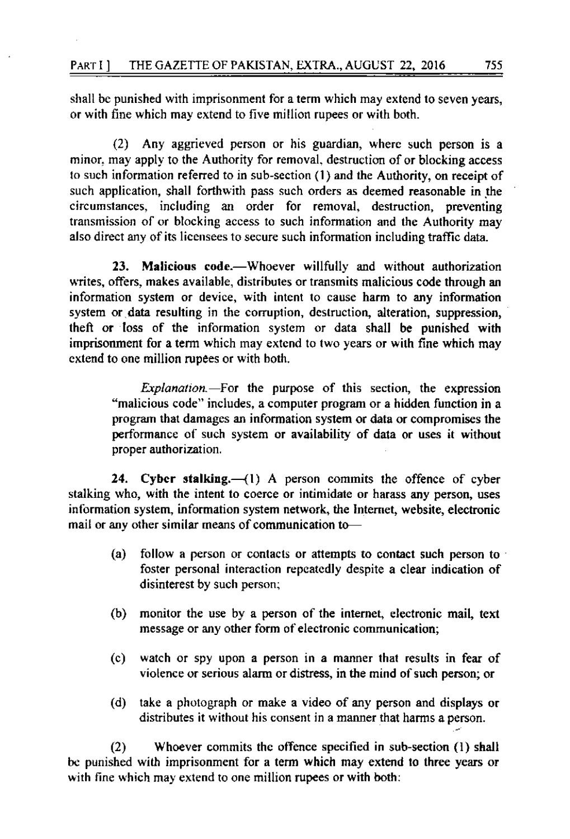shall be punished with imprisonment for a term which may extend to seven years, or with fine which may extend to five million rupees or with both.

 $(2)$  Any aggrieved person or his guardian, where such person is a minor, may apply to the Authority for removal, destruction of or blocking access to such information referred to in sub-section (1) and the Authority, on receipt of such application, shall forthwith pass such orders as deemed reasonable in the circumstances, including an order for removal, destruction, preventing transmission of or blocking access to such information and the Authority may also direct any of its licensees to secure such information including traffic data.

23. Malicious code.—Whoever willfully and without authorization writes, offers, makes available, distributes or transmits malicious code through an information system or device, with intent to cause harm to any information system or data resulting in the corruption, destruction, alteration, suppression, theft or loss of the information system or data shall be punished with imprisonment for a term which may extend to two years or with fine which may cxtend to one million rupees or with both.

 $Explanation$ . For the purpose of this section, the expression "malicious code" includes, a computer program or a hidden function in a program that damages an information system or data or compromises the performance of such system or availability of data or uses it without proper authorization.

24. Cyber stalking. $-(1)$  A person commits the offence of cyber stalking who, with the intent to coerce or intimidate or harass any person, uses information system, information system network, the Internet, website, electronic mail or any other similar means of communication to-

- (a) follow a person or contacts or attempts to contact such person to  $\cdot$ foster personal interaction repeatedly despite a clear indication of disinterest by such person;
- (b) monitor the use by a person of the internet, electronic mail, text message or any other form of electronic communication;
- (c) watch or spy upon a person in a manner lhal resuhs in fear of violence or serious alarm or distress, in the mind of such person; or
- (d) take a pholograph or make a video of any person and displays or distributes it without his consent in a manner that harms a person.

(2) Whoever commits the offcnce specified in sub-section (l) shall be punished with imprisonment for a term which may extend to three years or with fine which may extend to one million rupees or with both: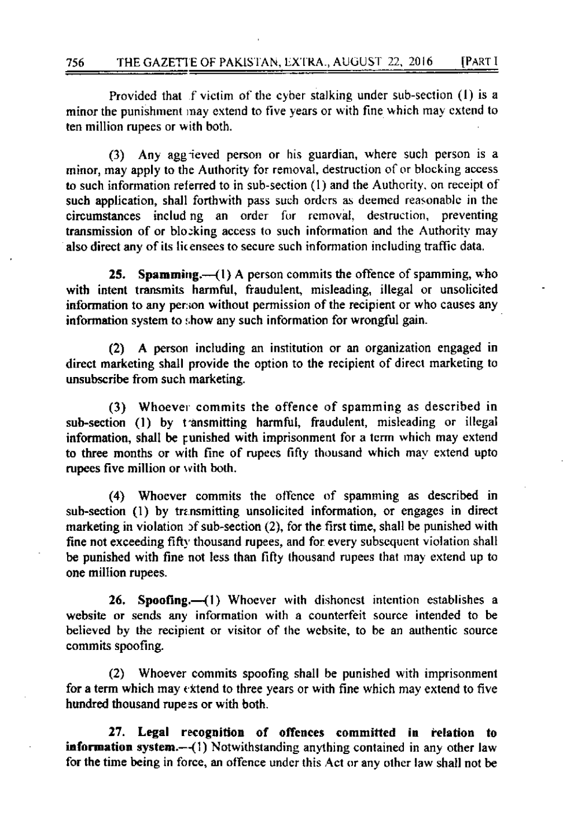Provided that f victim of the cyber stalking under sub-section (1) is a minor the punishment may extend to five years or with fine which may extend to ten million rupees or with both.

(3) Any aggrieved person or his guardian, where such person is a minor, may apply to the Authority for removal, destruction of or blocking access to such information referred to in sub-section (1) and the Authority, on receipt of such application, shall forthwith pass such orders as deemed reasonable in the circumstances including an order for removal, destruction, preventing transmission of or blocking access to such information and the Authority may also direct any of its licensees to secure such information including traffic data.

25. Spamming. $-(1)$  A person commits the offence of spamming, who with intent transmits harmful, fraudulent, misleading, illegal or unsolicited information to any person without permission of the recipient or who causes any information system to show any such information for wrongful gain.

(2) A person including an institution or an organization engaged in direct marketing shall provide the option to the recipient of direct marketing to unsubscribe from such marketing.

(3) Whoever commits the offence of spamming as described in sub-section (1) by transmitting harmful, fraudulent, misleading or illegal information, shall be runished with imprisonment for a term which may extend to three months or with fine of rupees fifty thousand which may extend upto rupees five million or with both.

(4) Whoever commits the offence of spamming as described in sub-section (1) by transmitting unsolicited information, or engages in direct marketing in violation of sub-section (2), for the first time, shall be punished with fine not exceeding fifty thousand rupees, and for every subsequent violation shall be punished with fine not less than fifty thousand rupees that may extend up to one million rupees.

26. Spoofing.-(1) Whoever with dishonest intention establishes a website or sends any information with a counterfeit source intended to be believed by the recipient or visitor of the website, to be an authentic source commits spoofing.

(2) Whoever commits spoofing shall be punished with imprisonment for a term which may extend to three years or with fine which may extend to five hundred thousand rupees or with both.

27. Legal recognition of offences committed in relation to **information system.** $-(1)$  Notwithstanding anything contained in any other law for the time being in force, an offence under this Act or any other law shall not be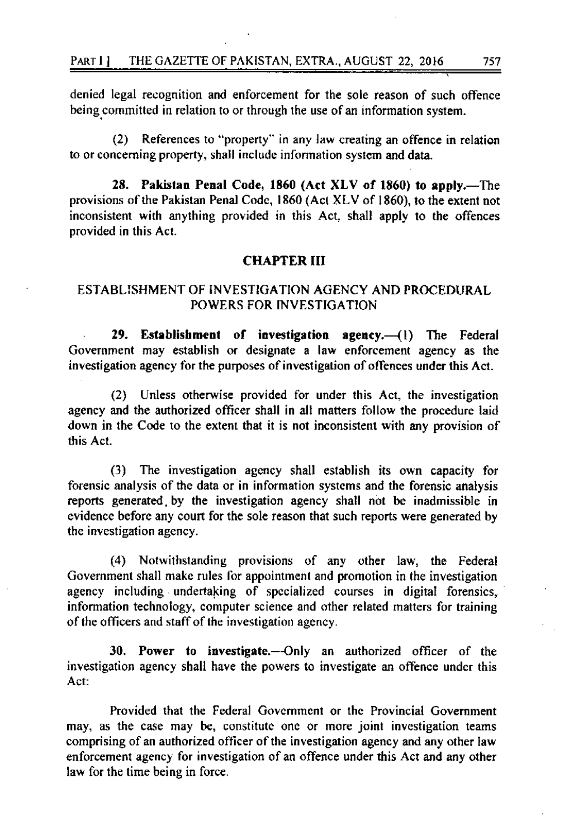denied legal recognition and enforcement for the sole reason of such offence being committed in relation to or through the use of an information system.

References to "property" in any law creating an offence in relation  $(2)$ to or concerning property, shall include information system and data.

28. Pakistan Penal Code, 1860 (Act XLV of 1860) to apply.—The provisions of the Pakistan Penal Code, 1860 (Act XLV of 1860), to the extent not inconsistent with anything provided in this Act, shall apply to the offences provided in this Act.

#### **CHAPTER III**

### ESTABLISHMENT OF INVESTIGATION AGENCY AND PROCEDURAL POWERS FOR INVESTIGATION

29. Establishment of investigation agency.-(1) The Federal Government may establish or designate a law enforcement agency as the investigation agency for the purposes of investigation of offences under this Act.

(2) Unless otherwise provided for under this Act, the investigation agency and the authorized officer shall in all matters follow the procedure laid down in the Code to the extent that it is not inconsistent with any provision of this Act.

The investigation agency shall establish its own capacity for  $(3)$ forensic analysis of the data or in information systems and the forensic analysis reports generated by the investigation agency shall not be inadmissible in evidence before any court for the sole reason that such reports were generated by the investigation agency.

(4) Notwithstanding provisions of any other law, the Federal Government shall make rules for appointment and promotion in the investigation agency including undertaking of specialized courses in digital forensics, information technology, computer science and other related matters for training of the officers and staff of the investigation agency.

30. Power to investigate.—Only an authorized officer of the investigation agency shall have the powers to investigate an offence under this Act:

Provided that the Federal Government or the Provincial Government may, as the case may be, constitute one or more joint investigation teams comprising of an authorized officer of the investigation agency and any other law enforcement agency for investigation of an offence under this Act and any other law for the time being in force.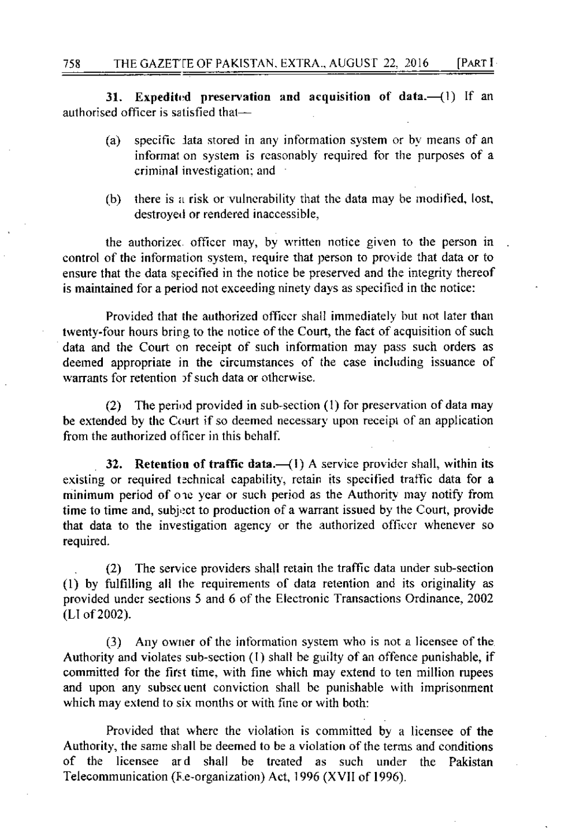Expedited preservation and acquisition of data. $-(1)$  If an  $31.$ authorised officer is satisfied that-

- specific lata stored in any information system or by means of an  $(a)$ informat on system is reasonably required for the purposes of a criminal investigation; and
- there is a risk or vulnerability that the data may be modified, lost, (b) destroyed or rendered inaccessible,

the authorized officer may, by written notice given to the person in control of the information system, require that person to provide that data or to ensure that the data specified in the notice be preserved and the integrity thereof is maintained for a period not exceeding ninety days as specified in the notice:

Provided that the authorized officer shall immediately but not later than twenty-four hours bring to the notice of the Court, the fact of acquisition of such data and the Court on receipt of such information may pass such orders as deemed appropriate in the circumstances of the case including issuance of warrants for retention of such data or otherwise.

(2) The period provided in sub-section (1) for preservation of data may be extended by the Court if so deemed necessary upon receipt of an application from the authorized officer in this behalf.

32. Retention of traffic data.-(1) A service provider shall, within its existing or required technical capability, retain its specified traffic data for a minimum period of one year or such period as the Authority may notify from time to time and, subject to production of a warrant issued by the Court, provide that data to the investigation agency or the authorized officer whenever so required.

 $(2)$ The service providers shall retain the traffic data under sub-section (1) by fulfilling all the requirements of data retention and its originality as provided under sections 5 and 6 of the Electronic Transactions Ordinance, 2002 (LI of 2002).

(3) Any owner of the information system who is not a licensee of the Authority and violates sub-section (1) shall be guilty of an offence punishable, if committed for the first time, with fine which may extend to ten million rupees and upon any subsequent conviction shall be punishable with imprisonment which may extend to six months or with fine or with both:

Provided that where the violation is committed by a licensee of the Authority, the same shall be deemed to be a violation of the terms and conditions of the licensee ard shall be treated as such under the Pakistan Telecommunication (F.e-organization) Act, 1996 (XVII of 1996).

758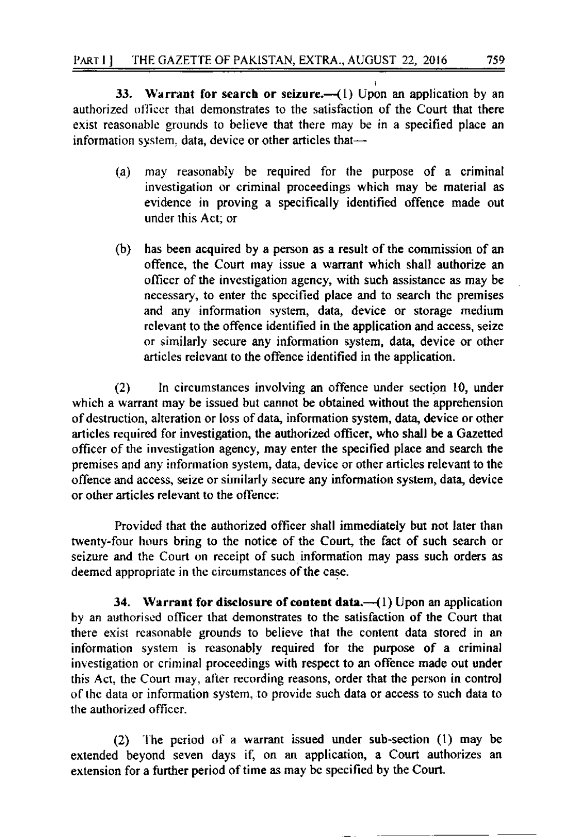33. Warrant for search or seizure. $-(1)$  Upon an application by an authorized officer that demonstrates to the satisfaction of the Court that there exist reasonable grounds to believe that there may be in a specified place an information system. data, device or other articles that-

- $(a)$ may reasonably be required for the purpose of a criminal investigation or criminal proceedings which may be material as evidence in proving a specifically identified offence made out under this Act: or
- $(b)$ has been acquired by a person as a result of the commission of an offence, the Court may issue a warrant which shall authorize an officer of the investigation agency, with such assistance as may be necessary, to enter the specified place and to search the premises and any information system, data, device or storage medium relevant to the offence identified in the application and access, seize or similarly secure any information system, data, device or other articles relevant to the offence identified in the application.

In circumstances involving an offence under section 10, under  $(2)$ which a warrant may be issued but cannot be obtained without the apprehension of destruction, alteration or loss of data, information system, data, device or other articles required for investigation, the authorized officer, who shall be a Gazetted officer of the investigation agency, may enter the specified place and search the premises and any information system, data, device or other articles relevant to the offence and access, seize or similarly secure any information system, data, device or other articles relevant to the offence:

Provided that the authorized officer shall immediately but not later than twenty-four hours bring to the notice of the Court, the fact of such search or seizure and the Court on receipt of such information may pass such orders as deemed appropriate in the circumstances of the case.

34. Warrant for disclosure of content data. $-(1)$  Upon an application by an authorised officer that demonstrates to the satisfaction of the Court that there exist reasonable grounds to believe that the content data stored in an information system is reasonably required for the purpose of a criminal investigation or criminal proceedings with respect to an offence made out under this Act, the Court may, after recording reasons, order that the person in control of the data or information system, to provide such data or access to such data to the authorized officer.

(2) The period of a warrant issued under sub-section (1) may be extended beyond seven days if, on an application, a Court authorizes an extension for a further period of time as may be specified by the Court.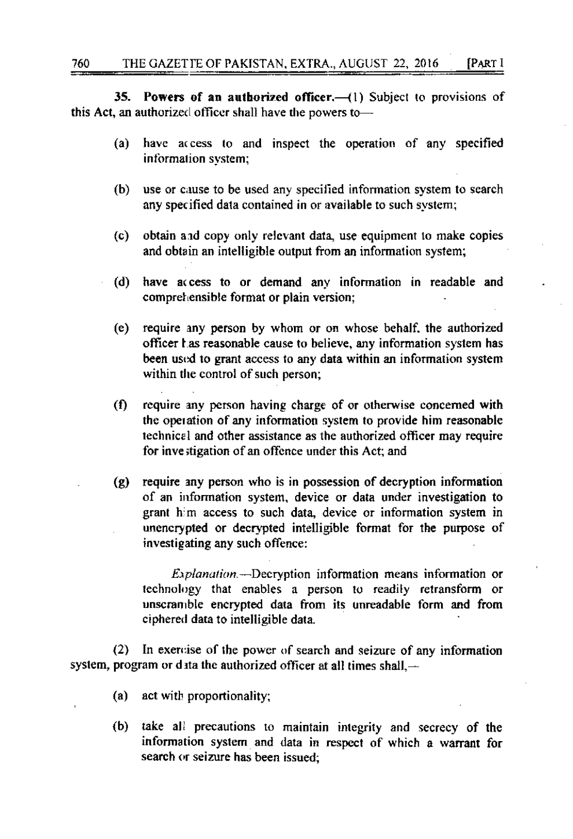[PART I

**Powers of an authorized officer.**  $(1)$  Subject to provisions of 35. this Act, an authorized officer shall have the powers to-

- have access to and inspect the operation of any specified  $(a)$ information system;
- (b) use or cause to be used any specified information system to search any specified data contained in or available to such system;
- $(c)$ obtain and copy only relevant data, use equipment to make copies and obtain an intelligible output from an information system;
- have access to or demand any information in readable and (d) comprehensible format or plain version;
- require any person by whom or on whose behalf, the authorized (e) officer has reasonable cause to believe, any information system has been used to grant access to any data within an information system within the control of such person;
- $(f)$ require any person having charge of or otherwise concerned with the operation of any information system to provide him reasonable technical and other assistance as the authorized officer may require for investigation of an offence under this Act; and
- require any person who is in possession of decryption information  $(g)$ of an information system, device or data under investigation to grant him access to such data, device or information system in unencrypted or decrypted intelligible format for the purpose of investigating any such offence:

*Explanation*.--Decryption information means information or technology that enables a person to readily retransform or unscramble encrypted data from its unreadable form and from ciphered data to intelligible data.

 $(2)$ In exercise of the power of search and seizure of any information system, program or data the authorized officer at all times shall,  $-$ 

- (a) act with proportionality;
- $(b)$ take all precautions to maintain integrity and secrecy of the information system and data in respect of which a warrant for search or seizure has been issued;

760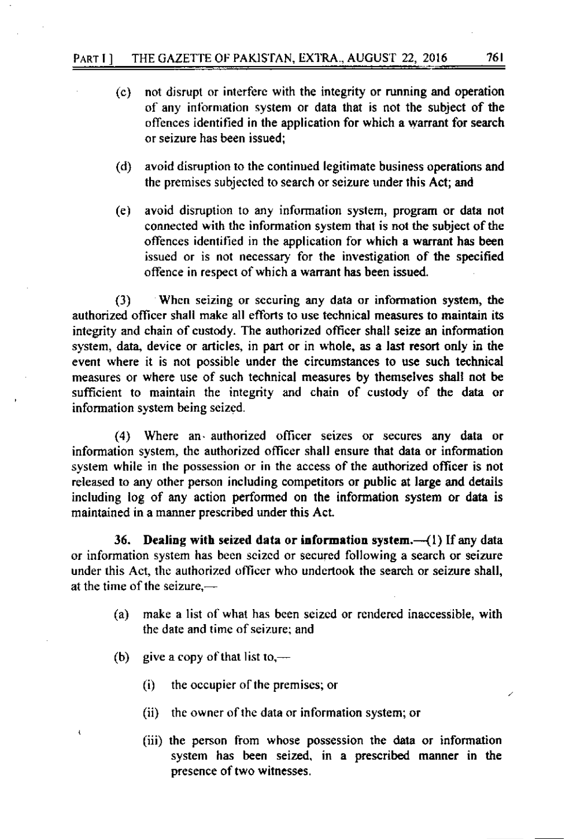- not disrupt or interfere with the integrity or running and operation  $(c)$ of any information system or data that is not the subject of the offences identified in the application for which a warrant for search or seizure has been issued:
- (d) avoid disruption to the continued legitimate business operations and the premises subjected to search or seizure under this Act; and
- avoid disruption to any information system, program or data not (e) connected with the information system that is not the subject of the offences identified in the application for which a warrant has been issued or is not necessary for the investigation of the specified offence in respect of which a warrant has been issued.

When seizing or securing any data or information system, the  $(3)$ authorized officer shall make all efforts to use technical measures to maintain its integrity and chain of custody. The authorized officer shall seize an information system, data, device or articles, in part or in whole, as a last resort only in the event where it is not possible under the circumstances to use such technical measures or where use of such technical measures by themselves shall not be sufficient to maintain the integrity and chain of custody of the data or information system being seized.

(4) Where an authorized officer seizes or secures any data or information system, the authorized officer shall ensure that data or information system while in the possession or in the access of the authorized officer is not released to any other person including competitors or public at large and details including log of any action performed on the information system or data is maintained in a manner prescribed under this Act.

36. Dealing with seized data or information system.--(1) If any data or information system has been seized or secured following a search or seizure under this Act, the authorized officer who undertook the search or seizure shall, at the time of the seizure.—

- make a list of what has been seized or rendered inaccessible, with  $(a)$ the date and time of seizure; and
- give a copy of that list to, $-$ (b)
	- $\ddot{\Omega}$ the occupier of the premises; or
	- (ii) the owner of the data or information system; or
	- (iii) the person from whose possession the data or information system has been seized, in a prescribed manner in the presence of two witnesses.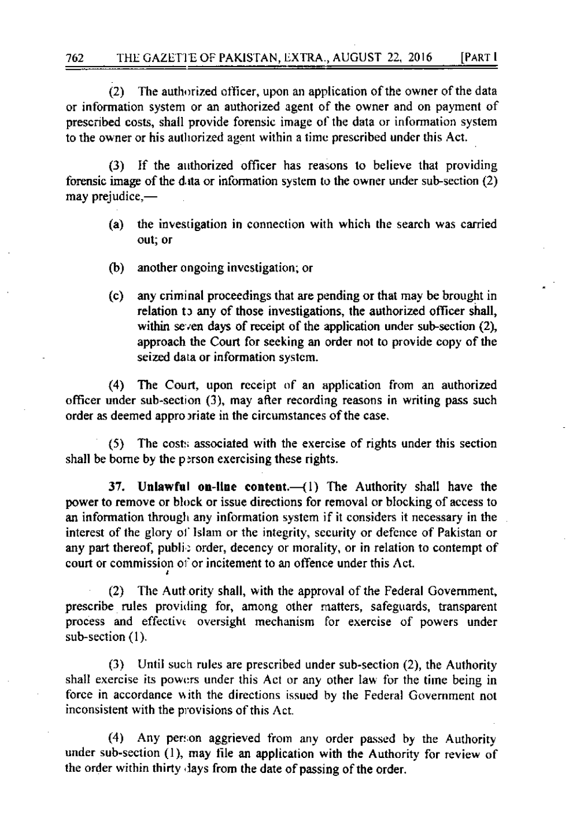(2) The authorized officer, upon an application of the owner of the data or information system or an authorized agent of the owner and on payment of prescribed costs, shall provide forensic image of the data or information system to the owner or his authorized agent within a time prescribed under this Act.

(3) If the authorized officer has reasons to believe that providing forensic image of the data or information system to the owner under sub-section  $(2)$ may prejudice,-

- (a) the investigation in connection with which the search was carried out; or
- (b) another ongoing investigation; or
- (c) any criminal proceedings that are pending or that may be brought in relation to any of those investigations, the authorized officer shall, within seven days of receipt of the application under sub-section (2), approach the Court for seeking an order not to provide copy of the seized data or information system.

(4) The Court, upon receipt of an application from an authorized officer under sub-section (3), may after recording reasons in writing pass such order as deemed appropriate in the circumstances of the case.

The costs associated with the exercise of rights under this section  $(5)$ shall be borne by the person exercising these rights.

37. Unlawful on-line content.—(1) The Authority shall have the power to remove or block or issue directions for removal or blocking of access to an information through any information system if it considers it necessary in the interest of the glory of Islam or the integrity, security or defence of Pakistan or any part thereof, public order, decency or morality, or in relation to contempt of court or commission of or incitement to an offence under this Act.

(2) The Authority shall, with the approval of the Federal Government, prescribe rules providing for, among other matters, safeguards, transparent process and effective oversight mechanism for exercise of powers under sub-section (1).

(3) Until such rules are prescribed under sub-section (2), the Authority shall exercise its powers under this Act or any other law for the time being in force in accordance with the directions issued by the Federal Government not inconsistent with the provisions of this Act.

(4) Any person aggrieved from any order passed by the Authority under sub-section (1), may file an application with the Authority for review of the order within thirty days from the date of passing of the order.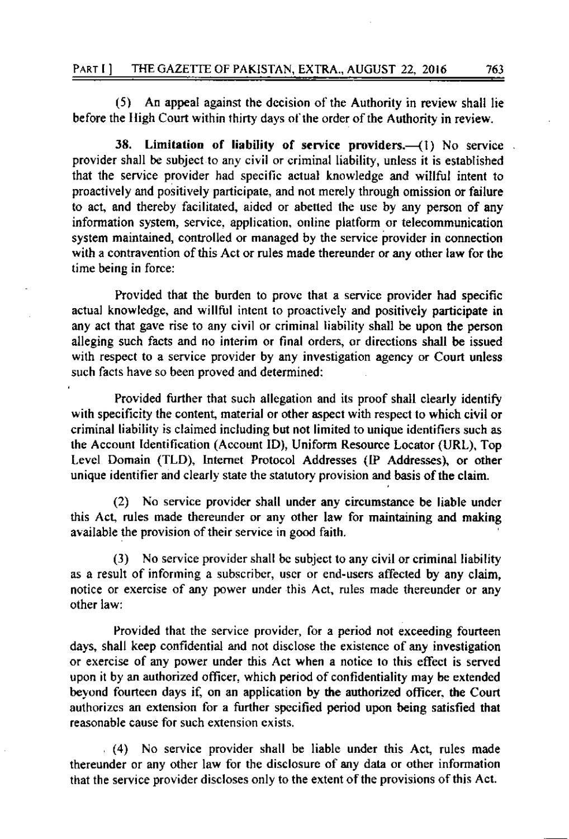$(5)$  An appeal against the decision of the Authority in review shall lie before the High Court within thirty days of the order of the Authority in review.

38. Limitation of liability of service providers. $-({}1)$  No service. provider shall be subject to any civil or criminal liability, unless it is established that the service provider had specific actual knowledge and willful intent to proactively and positively participate, and not merely through omission or failure to act, and thereby facilitated, aided or abetted the use by any person of any information system, service. application. online platform or telecommunication system maintained, controlled or managed by the service provider in connection with a contravention of this Act or rules made thereunder or any other law for the timc being in force:

Provided that the burden to prove that a service provider had specific actual knowledge, and willful intent to proactively and positively participate in any act that gave rise to any civil or criminal liability shall be upon the person alleging such facts and no interim or final orders, or directions shall be issued wilh respect to a service provider by any investigation agency or Court unless such facts have so been proved and determined:

Provided further that such allegation and its proof shall clearly identify with specificity the content, material or other aspect with respect to which civil or criminal liability is claimed including but not limited to unique identifiers such as the Account Identification (Account ID), Uniform Resource Locator (URL), Top Levcl Domein (TLD), Intemet Protocol Addresses (tP Addresses), or other unique identifier and clearly state the statutory provision and basis of the claim.

(2) No service provider shall under any circumstance be liable undcr this Act, rules made thereunder or any other law for maintaining and making available the provision of their service in good faith.

(3) No service provrder shall bc subject to any civil or criminal liability as a result of informing a subscribcr, uscr or end-users affected by any claim, notice or exercise of any power under this Act, rules made thereunder or any other law:

Provided that the service providcr, for a period not exceeding fourteen days, shall keep confidential and not disclose the existence of any investigation or exercise of any power under this Act when a notice lo this effect is served upon it by an authorized officer, which period of confidentiality may be extended beyond fourteen days if, on an application by the authorized officer, the Court authorizes an extension for a further specified period upon being satisfied that reasonable cause for such extension exists,

(4) No service provider shall be liable under this Act, rules made thereunder or any other law for the disclosure of any data or other information that the service provrder discloses only to the extent ofthe provisions ofthis Act.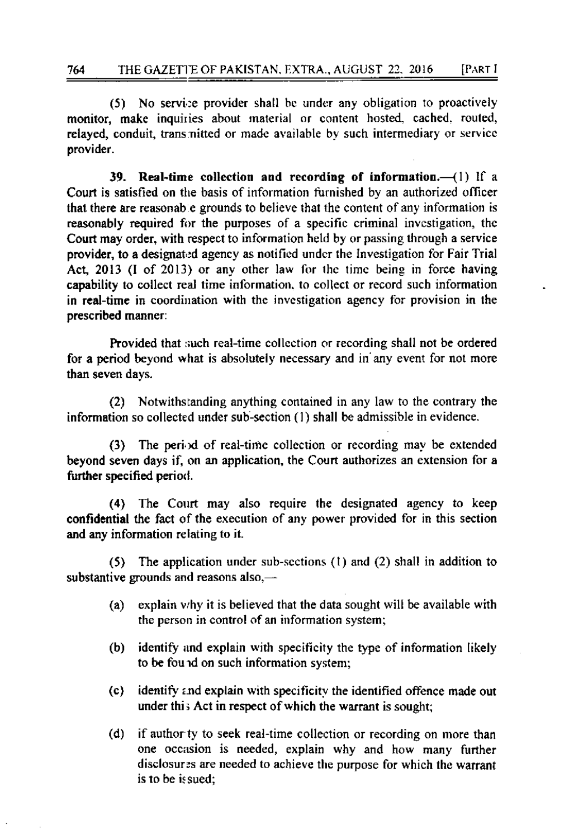(5) No service provider shall be under any obligation to proactively monitor, make inquiries about material or content hosted, cached, routed, relayed, conduit, transmitted or made available by such intermediary or service provider.

39. Real-time collection and recording of information. $-(1)$  if a Court is satisfied on the basis of information furnished by an authorized officer that there are reasonable grounds to believe that the content of any information is reasonably required for the purposes of a specific criminal investigation, the Court may order, with respect to information held by or passing through a service provider, to a designated agency as notified under the Investigation for Fair Trial Act, 2013 (I of 2013) or any other law for the time being in force having capability to collect real time information, to collect or record such information in real-time in coordination with the investigation agency for provision in the prescribed manner:

Provided that such real-time collection or recording shall not be ordered for a period beyond what is absolutely necessary and in any event for not more than seven days.

(2) Notwithstanding anything contained in any law to the contrary the information so collected under sub-section (1) shall be admissible in evidence.

(3) The period of real-time collection or recording may be extended beyond seven days if, on an application, the Court authorizes an extension for a further specified period.

(4) The Court may also require the designated agency to keep confidential the fact of the execution of any power provided for in this section and any information relating to it.

(5) The application under sub-sections  $(1)$  and  $(2)$  shall in addition to substantive grounds and reasons also,—

- $(a)$ explain why it is believed that the data sought will be available with the person in control of an information system;
- identify and explain with specificity the type of information likely  $(b)$ to be found on such information system;
- identify and explain with specificity the identified offence made out  $(c)$ under this Act in respect of which the warrant is sought;
- $(d)$ if author ty to seek real-time collection or recording on more than one occasion is needed, explain why and how many further disclosures are needed to achieve the purpose for which the warrant is to be issued: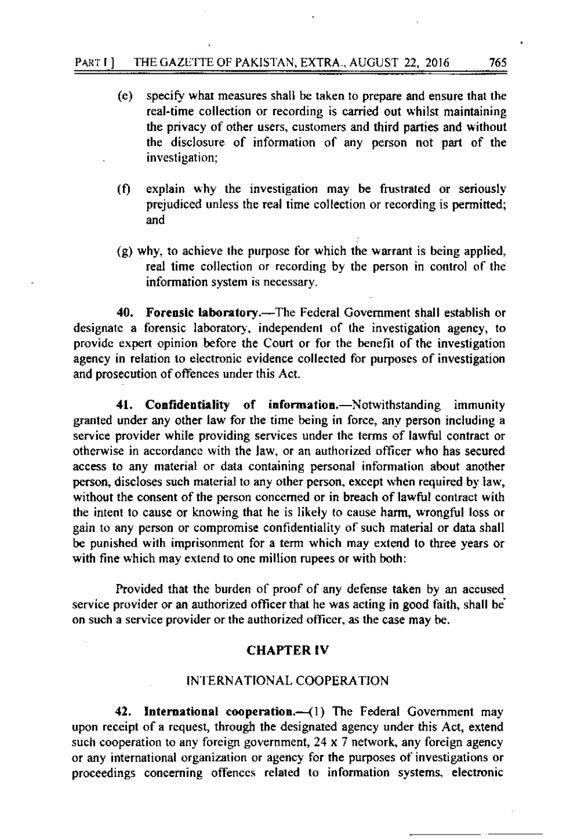- $(e)$ specify what measures shall be taken to prepare and ensure that the real-time collection or recording is carried out whilst maintaining the privacy of other users, customers and third parties and without the disclosure of information of any person not part of the investigation;
- explain why the investigation may be frustrated or seriously  $(f)$ prejudiced unless the real time collection or recording is permitted; and
- (g) why, to achieve the purpose for which the warrant is being applied, real time collection or recording by the person in control of the information system is necessary.

40. Forensic laboratory.—The Federal Government shall establish or designate a forensic laboratory, independent of the investigation agency, to provide expert opinion before the Court or for the benefit of the investigation agency in relation to electronic evidence collected for purposes of investigation and prosecution of offences under this Act.

41. Confidentiality of information.-Notwithstanding immunity granted under any other law for the time being in force, any person including a service provider while providing services under the terms of lawful contract or otherwise in accordance with the law, or an authorized officer who has secured access to any material or data containing personal information about another person, discloses such material to any other person, except when required by law, without the consent of the person concerned or in breach of lawful contract with the intent to cause or knowing that he is likely to cause harm, wrongful loss or gain to any person or compromise confidentiality of such material or data shall be punished with imprisonment for a term which may extend to three years or with fine which may extend to one million rupees or with both:

Provided that the burden of proof of any defense taken by an accused service provider or an authorized officer that he was acting in good faith, shall be on such a service provider or the authorized officer, as the case may be.

#### **CHAPTER IV**

# INTERNATIONAL COOPERATION

42. International cooperation.—(1) The Federal Government may upon receipt of a request, through the designated agency under this Act, extend such cooperation to any foreign government,  $24 \times 7$  network, any foreign agency or any international organization or agency for the purposes of investigations or proceedings concerning offences related to information systems, electronic